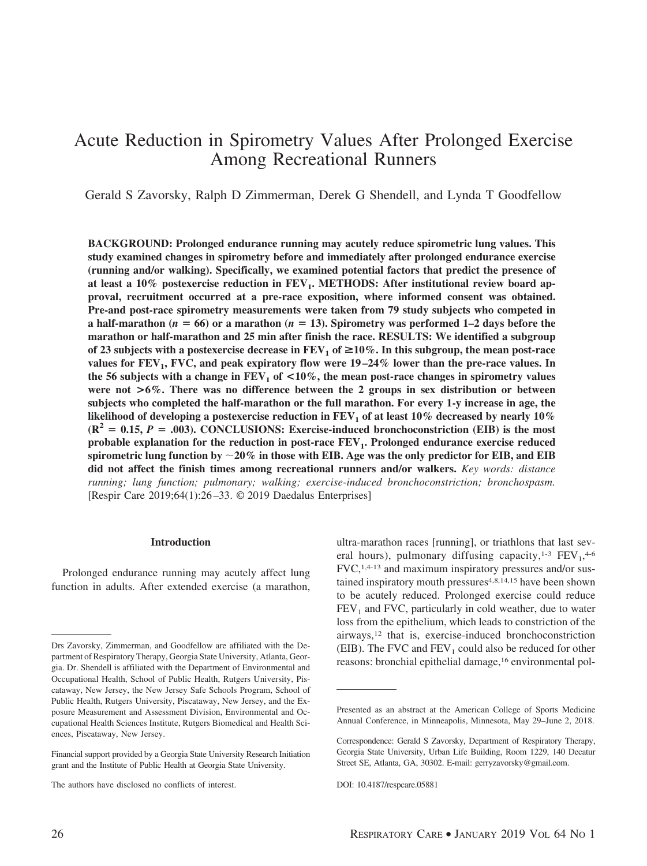# Acute Reduction in Spirometry Values After Prolonged Exercise Among Recreational Runners

Gerald S Zavorsky, Ralph D Zimmerman, Derek G Shendell, and Lynda T Goodfellow

**BACKGROUND: Prolonged endurance running may acutely reduce spirometric lung values. This study examined changes in spirometry before and immediately after prolonged endurance exercise (running and/or walking). Specifically, we examined potential factors that predict the presence of** at least a 10% postexercise reduction in FEV<sub>1</sub>. METHODS: After institutional review board ap**proval, recruitment occurred at a pre-race exposition, where informed consent was obtained. Pre-and post-race spirometry measurements were taken from 79 study subjects who competed in a** half-marathon ( $n = 66$ ) or a marathon ( $n = 13$ ). Spirometry was performed 1–2 days before the **marathon or half-marathon and 25 min after finish the race. RESULTS: We identified a subgroup** of 23 subjects with a postexercise decrease in  $\text{FEV}_1$  of  $\geq 10\%$ . In this subgroup, the mean post-race values for  $FEV_1$ , FVC, and peak expiratory flow were  $19-24\%$  lower than the pre-race values. In the 56 subjects with a change in  $FEV_1$  of  $\lt 10\%$ , the mean post-race changes in spirometry values **were not >6%. There was no difference between the 2 groups in sex distribution or between subjects who completed the half-marathon or the full marathon. For every 1-y increase in age, the** likelihood of developing a postexercise reduction in  $FEV<sub>1</sub>$  of at least 10% decreased by nearly 10%  $(R^2 = 0.15, P = .003)$ . CONCLUSIONS: Exercise-induced bronchoconstriction (EIB) is the most **probable explanation for the reduction in post-race FEV1. Prolonged endurance exercise reduced** spirometric lung function by  ${\sim}20\%$  in those with EIB. Age was the only predictor for EIB, and EIB **did not affect the finish times among recreational runners and/or walkers.** *Key words: distance running; lung function; pulmonary; walking; exercise-induced bronchoconstriction; bronchospasm.* [Respir Care 2019;64(1):26 –33. © 2019 Daedalus Enterprises]

#### **Introduction**

Prolonged endurance running may acutely affect lung function in adults. After extended exercise (a marathon, ultra-marathon races [running], or triathlons that last several hours), pulmonary diffusing capacity, $1-3$   $FEV<sub>1</sub>,4-6$ FVC,1,4-13 and maximum inspiratory pressures and/or sustained inspiratory mouth pressures<sup>4,8,14,15</sup> have been shown to be acutely reduced. Prolonged exercise could reduce  $FEV<sub>1</sub>$  and FVC, particularly in cold weather, due to water loss from the epithelium, which leads to constriction of the airways,12 that is, exercise-induced bronchoconstriction (EIB). The FVC and  $FEV<sub>1</sub>$  could also be reduced for other reasons: bronchial epithelial damage,<sup>16</sup> environmental pol-

Drs Zavorsky, Zimmerman, and Goodfellow are affiliated with the Department of Respiratory Therapy, Georgia State University, Atlanta, Georgia. Dr. Shendell is affiliated with the Department of Environmental and Occupational Health, School of Public Health, Rutgers University, Piscataway, New Jersey, the New Jersey Safe Schools Program, School of Public Health, Rutgers University, Piscataway, New Jersey, and the Exposure Measurement and Assessment Division, Environmental and Occupational Health Sciences Institute, Rutgers Biomedical and Health Sciences, Piscataway, New Jersey.

Financial support provided by a Georgia State University Research Initiation grant and the Institute of Public Health at Georgia State University.

The authors have disclosed no conflicts of interest.

Presented as an abstract at the American College of Sports Medicine Annual Conference, in Minneapolis, Minnesota, May 29–June 2, 2018.

Correspondence: Gerald S Zavorsky, Department of Respiratory Therapy, Georgia State University, Urban Life Building, Room 1229, 140 Decatur Street SE, Atlanta, GA, 30302. E-mail: gerryzavorsky@gmail.com.

DOI: 10.4187/respcare.05881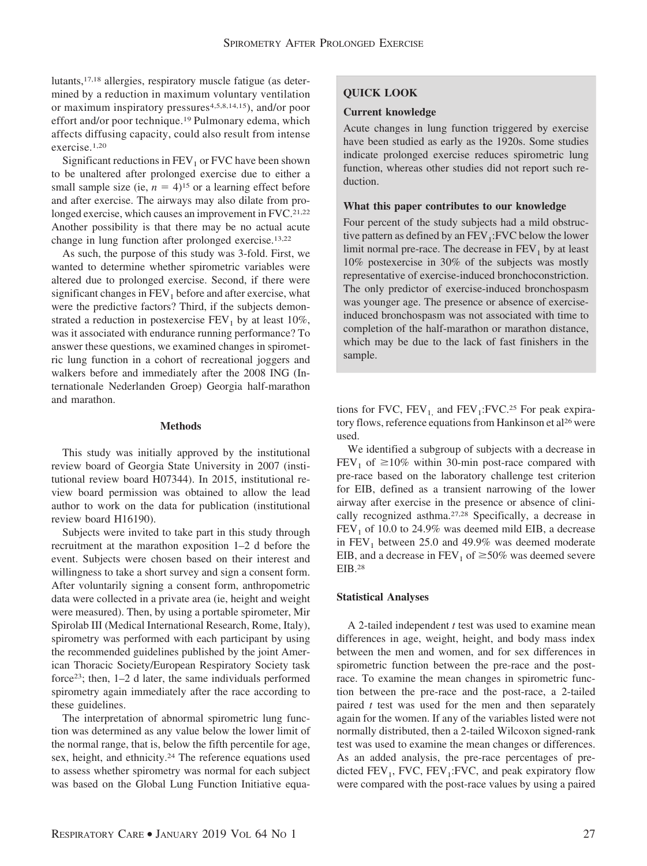lutants,17,18 allergies, respiratory muscle fatigue (as determined by a reduction in maximum voluntary ventilation or maximum inspiratory pressures<sup>4,5,8,14,15</sup>), and/or poor effort and/or poor technique.<sup>19</sup> Pulmonary edema, which affects diffusing capacity, could also result from intense exercise.1,20

Significant reductions in  $FEV<sub>1</sub>$  or FVC have been shown to be unaltered after prolonged exercise due to either a small sample size (ie,  $n = 4$ )<sup>15</sup> or a learning effect before and after exercise. The airways may also dilate from prolonged exercise, which causes an improvement in FVC.<sup>21,22</sup> Another possibility is that there may be no actual acute change in lung function after prolonged exercise.13,22

As such, the purpose of this study was 3-fold. First, we wanted to determine whether spirometric variables were altered due to prolonged exercise. Second, if there were significant changes in  $FEV<sub>1</sub>$  before and after exercise, what were the predictive factors? Third, if the subjects demonstrated a reduction in postexercise  $FEV<sub>1</sub>$  by at least 10%, was it associated with endurance running performance? To answer these questions, we examined changes in spirometric lung function in a cohort of recreational joggers and walkers before and immediately after the 2008 ING (Internationale Nederlanden Groep) Georgia half-marathon and marathon.

## **Methods**

This study was initially approved by the institutional review board of Georgia State University in 2007 (institutional review board H07344). In 2015, institutional review board permission was obtained to allow the lead author to work on the data for publication (institutional review board H16190).

Subjects were invited to take part in this study through recruitment at the marathon exposition 1–2 d before the event. Subjects were chosen based on their interest and willingness to take a short survey and sign a consent form. After voluntarily signing a consent form, anthropometric data were collected in a private area (ie, height and weight were measured). Then, by using a portable spirometer, Mir Spirolab III (Medical International Research, Rome, Italy), spirometry was performed with each participant by using the recommended guidelines published by the joint American Thoracic Society/European Respiratory Society task force23; then, 1–2 d later, the same individuals performed spirometry again immediately after the race according to these guidelines.

The interpretation of abnormal spirometric lung function was determined as any value below the lower limit of the normal range, that is, below the fifth percentile for age, sex, height, and ethnicity.24 The reference equations used to assess whether spirometry was normal for each subject was based on the Global Lung Function Initiative equa-

# **QUICK LOOK**

## **Current knowledge**

Acute changes in lung function triggered by exercise have been studied as early as the 1920s. Some studies indicate prolonged exercise reduces spirometric lung function, whereas other studies did not report such reduction.

# **What this paper contributes to our knowledge**

Four percent of the study subjects had a mild obstructive pattern as defined by an  $FEV_1$ : FVC below the lower limit normal pre-race. The decrease in  $FEV<sub>1</sub>$  by at least 10% postexercise in 30% of the subjects was mostly representative of exercise-induced bronchoconstriction. The only predictor of exercise-induced bronchospasm was younger age. The presence or absence of exerciseinduced bronchospasm was not associated with time to completion of the half-marathon or marathon distance, which may be due to the lack of fast finishers in the sample.

tions for FVC,  $FEV_1$  and  $FEV_1$ : FVC.<sup>25</sup> For peak expiratory flows, reference equations from Hankinson et al<sup>26</sup> were used.

We identified a subgroup of subjects with a decrease in  $FEV_1$  of  $\geq 10\%$  within 30-min post-race compared with pre-race based on the laboratory challenge test criterion for EIB, defined as a transient narrowing of the lower airway after exercise in the presence or absence of clinically recognized asthma.27,28 Specifically, a decrease in  $FEV<sub>1</sub>$  of 10.0 to 24.9% was deemed mild EIB, a decrease in  $FEV<sub>1</sub>$  between 25.0 and 49.9% was deemed moderate EIB, and a decrease in  $FEV_1$  of  $\geq$ 50% was deemed severe EIB.28

### **Statistical Analyses**

A 2-tailed independent *t* test was used to examine mean differences in age, weight, height, and body mass index between the men and women, and for sex differences in spirometric function between the pre-race and the postrace. To examine the mean changes in spirometric function between the pre-race and the post-race, a 2-tailed paired *t* test was used for the men and then separately again for the women. If any of the variables listed were not normally distributed, then a 2-tailed Wilcoxon signed-rank test was used to examine the mean changes or differences. As an added analysis, the pre-race percentages of predicted  $FEV_1$ , FVC,  $FEV_1$ : FVC, and peak expiratory flow were compared with the post-race values by using a paired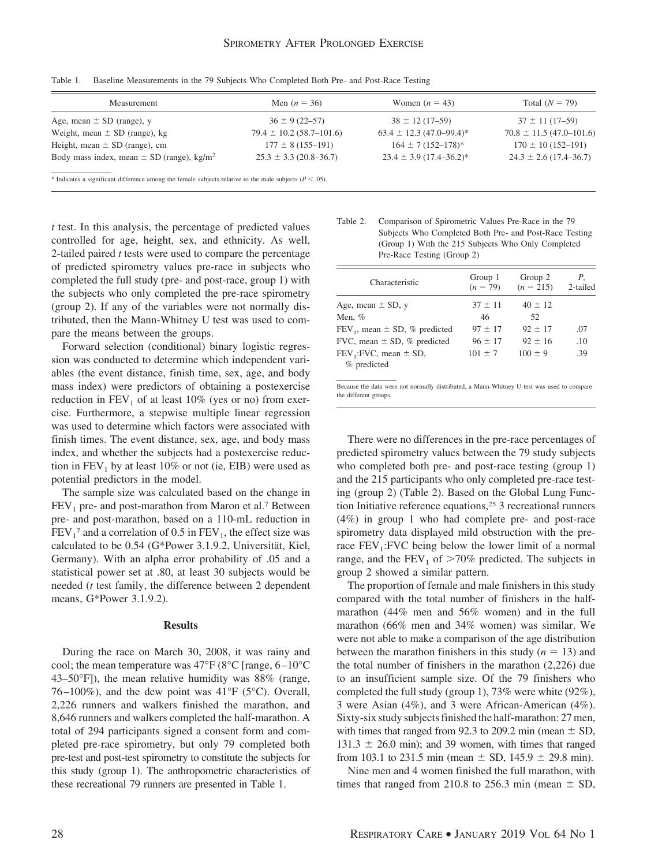| Men $(n = 36)$               | Women $(n = 43)$             | Total $(N = 79)$              |
|------------------------------|------------------------------|-------------------------------|
| $36 \pm 9(22 - 57)$          | $38 \pm 12(17-59)$           | $37 \pm 11(17-59)$            |
| $79.4 \pm 10.2$ (58.7–101.6) | $63.4 \pm 12.3$ (47.0–99.4)* | $70.8 \pm 11.5(47.0 - 101.6)$ |
| $177 \pm 8(155 - 191)$       | $164 \pm 7(152 - 178)^*$     | $170 \pm 10(152 - 191)$       |
| $25.3 \pm 3.3$ (20.8–36.7)   | $23.4 \pm 3.9$ (17.4–36.2)*  | $24.3 \pm 2.6$ (17.4–36.7)    |
|                              |                              |                               |

Table 1. Baseline Measurements in the 79 Subjects Who Completed Both Pre- and Post-Race Testing

\* Indicates a significant difference among the female subjects relative to the male subjects  $(P < .05)$ .

*t* test. In this analysis, the percentage of predicted values controlled for age, height, sex, and ethnicity. As well, 2-tailed paired *t* tests were used to compare the percentage of predicted spirometry values pre-race in subjects who completed the full study (pre- and post-race, group 1) with the subjects who only completed the pre-race spirometry (group 2). If any of the variables were not normally distributed, then the Mann-Whitney U test was used to compare the means between the groups.

Forward selection (conditional) binary logistic regression was conducted to determine which independent variables (the event distance, finish time, sex, age, and body mass index) were predictors of obtaining a postexercise reduction in  $FEV<sub>1</sub>$  of at least 10% (yes or no) from exercise. Furthermore, a stepwise multiple linear regression was used to determine which factors were associated with finish times. The event distance, sex, age, and body mass index, and whether the subjects had a postexercise reduction in  $FEV<sub>1</sub>$  by at least 10% or not (ie, EIB) were used as potential predictors in the model.

The sample size was calculated based on the change in  $FEV<sub>1</sub>$  pre- and post-marathon from Maron et al.<sup>7</sup> Between pre- and post-marathon, based on a 110-mL reduction in  $FEV<sub>1</sub><sup>7</sup>$  and a correlation of 0.5 in  $FEV<sub>1</sub>$ , the effect size was calculated to be  $0.54$  (G\*Power 3.1.9.2, Universität, Kiel, Germany). With an alpha error probability of .05 and a statistical power set at .80, at least 30 subjects would be needed (*t* test family, the difference between 2 dependent means, G\*Power 3.1.9.2).

### **Results**

During the race on March 30, 2008, it was rainy and cool; the mean temperature was  $47^{\circ}F(8^{\circ}C \text{ [range, } 6-10^{\circ}C \text{ ]})$  $43-50$ °F]), the mean relative humidity was 88% (range, 76–100%), and the dew point was  $41^{\circ}F$  (5°C). Overall, 2,226 runners and walkers finished the marathon, and 8,646 runners and walkers completed the half-marathon. A total of 294 participants signed a consent form and completed pre-race spirometry, but only 79 completed both pre-test and post-test spirometry to constitute the subjects for this study (group 1). The anthropometric characteristics of these recreational 79 runners are presented in Table 1.

Table 2. Comparison of Spirometric Values Pre-Race in the 79 Subjects Who Completed Both Pre- and Post-Race Testing (Group 1) With the 215 Subjects Who Only Completed Pre-Race Testing (Group 2)

| $(n = 79)$  | Group 2<br>$(n = 215)$ | Р.<br>2-tailed |
|-------------|------------------------|----------------|
| $37 \pm 11$ | $40 \pm 12$            |                |
| 46          | 52                     |                |
| $97 \pm 17$ | $92 \pm 17$            | .07            |
| $96 + 17$   | $92 + 16$              | .10            |
| $101 \pm 7$ | $100 \pm 9$            | .39            |
|             |                        |                |
|             |                        |                |

Because the data were not normally distributed, a Mann-Whitney U test was used to compare the different groups.

There were no differences in the pre-race percentages of predicted spirometry values between the 79 study subjects who completed both pre- and post-race testing (group 1) and the 215 participants who only completed pre-race testing (group 2) (Table 2). Based on the Global Lung Function Initiative reference equations,25 3 recreational runners (4%) in group 1 who had complete pre- and post-race spirometry data displayed mild obstruction with the prerace  $FEV<sub>1</sub>:FVC$  being below the lower limit of a normal range, and the  $FEV_1$  of  $>70\%$  predicted. The subjects in group 2 showed a similar pattern.

The proportion of female and male finishers in this study compared with the total number of finishers in the halfmarathon (44% men and 56% women) and in the full marathon (66% men and 34% women) was similar. We were not able to make a comparison of the age distribution between the marathon finishers in this study  $(n = 13)$  and the total number of finishers in the marathon (2,226) due to an insufficient sample size. Of the 79 finishers who completed the full study (group 1), 73% were white (92%), 3 were Asian (4%), and 3 were African-American (4%). Sixty-six study subjects finished the half-marathon: 27 men, with times that ranged from 92.3 to 209.2 min (mean  $\pm$  SD,  $131.3 \pm 26.0$  min); and 39 women, with times that ranged from 103.1 to 231.5 min (mean  $\pm$  SD, 145.9  $\pm$  29.8 min).

Nine men and 4 women finished the full marathon, with times that ranged from 210.8 to 256.3 min (mean  $\pm$  SD,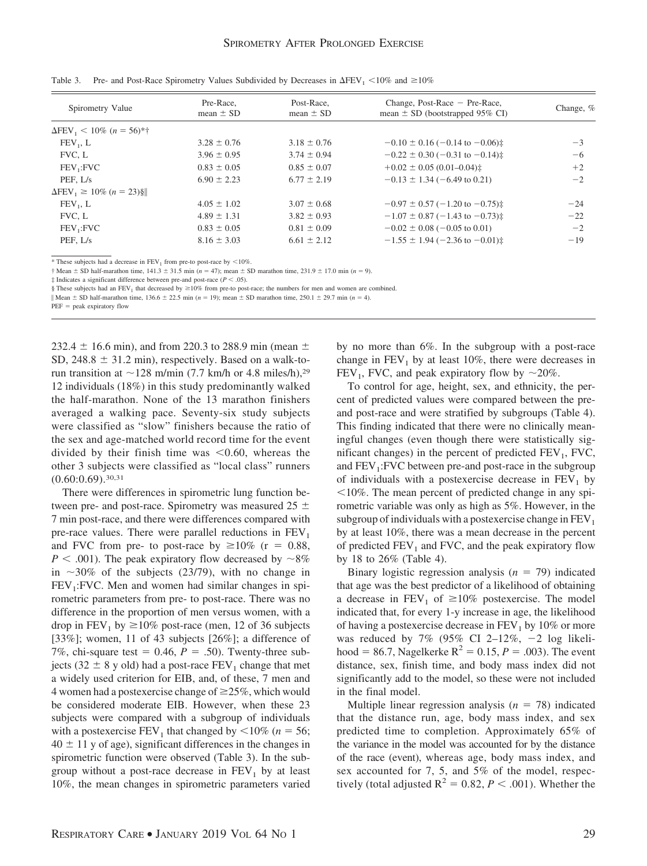| Spirometry Value                                | Pre-Race.<br>mean $\pm$ SD | Post-Race.<br>mean $\pm$ SD | Change, Post-Race $-$ Pre-Race,<br>mean $\pm$ SD (bootstrapped 95% CI) | Change, % |
|-------------------------------------------------|----------------------------|-----------------------------|------------------------------------------------------------------------|-----------|
| $\Delta$ FEV <sub>1</sub> < 10% (n = 56)*†      |                            |                             |                                                                        |           |
| $FEV_1, L$                                      | $3.28 \pm 0.76$            | $3.18 \pm 0.76$             | $-0.10 \pm 0.16$ (-0.14 to -0.06) $\ddagger$                           | $-3$      |
| FVC, L                                          | $3.96 \pm 0.95$            | $3.74 \pm 0.94$             | $-0.22 \pm 0.30$ (-0.31 to -0.14) $\ddagger$                           | $-6$      |
| $FEV_1: FVC$                                    | $0.83 \pm 0.05$            | $0.85 \pm 0.07$             | $+0.02 \pm 0.05(0.01 - 0.04)$                                          | $+2$      |
| PEF. L/s                                        | $6.90 \pm 2.23$            | $6.77 \pm 2.19$             | $-0.13 \pm 1.34$ (-6.49 to 0.21)                                       | $-2$      |
| $\Delta$ FEV <sub>1</sub> $\geq$ 10% (n = 23) § |                            |                             |                                                                        |           |
| $FEV_1$ , L                                     | $4.05 \pm 1.02$            | $3.07 \pm 0.68$             | $-0.97 \pm 0.57 (-1.20 \text{ to } -0.75)$                             | $-24$     |
| FVC. L                                          | $4.89 \pm 1.31$            | $3.82 \pm 0.93$             | $-1.07 \pm 0.87 (-1.43 \text{ to } -0.73)$                             | $-22$     |
| FEV <sub>1</sub> :FVC                           | $0.83 \pm 0.05$            | $0.81 \pm 0.09$             | $-0.02 \pm 0.08$ (-0.05 to 0.01)                                       | $-2$      |
| PEF, L/s                                        | $8.16 \pm 3.03$            | $6.61 \pm 2.12$             | $-1.55 \pm 1.94$ (-2.36 to -0.01) $\pm$                                | $-19$     |

Table 3. Pre- and Post-Race Spirometry Values Subdivided by Decreases in  $\Delta FEV_1 \le 10\%$  and  $\ge 10\%$ 

\* These subjects had a decrease in  $FEV<sub>1</sub>$  from pre-to post-race by <10%.

 $\dagger$  Mean  $\pm$  SD half-marathon time, 141.3  $\pm$  31.5 min (*n* = 47); mean  $\pm$  SD marathon time, 231.9  $\pm$  17.0 min (*n* = 9).

‡ Indicates a significant difference between pre-and post-race (*P* .05).

§ These subjects had an FEV<sub>1</sub> that decreased by  $\geq 10\%$  from pre-to post-race; the numbers for men and women are combined.

Wean  $\pm$  SD half-marathon time, 136.6  $\pm$  22.5 min (*n* = 19); mean  $\pm$  SD marathon time, 250.1  $\pm$  29.7 min (*n* = 4).

 $PEF = peak$  expiratory flow

232.4  $\pm$  16.6 min), and from 220.3 to 288.9 min (mean  $\pm$ SD, 248.8  $\pm$  31.2 min), respectively. Based on a walk-torun transition at  $\sim$  128 m/min (7.7 km/h or 4.8 miles/h),<sup>29</sup> 12 individuals (18%) in this study predominantly walked the half-marathon. None of the 13 marathon finishers averaged a walking pace. Seventy-six study subjects were classified as "slow" finishers because the ratio of the sex and age-matched world record time for the event divided by their finish time was  $\leq 0.60$ , whereas the other 3 subjects were classified as "local class" runners  $(0.60:0.69)$ <sup>30,31</sup>

There were differences in spirometric lung function between pre- and post-race. Spirometry was measured  $25 \pm$ 7 min post-race, and there were differences compared with pre-race values. There were parallel reductions in  $FEV<sub>1</sub>$ and FVC from pre- to post-race by  $\geq 10\%$  (r = 0.88,  $P < .001$ ). The peak expiratory flow decreased by  $\sim 8\%$ in  $\sim$ 30% of the subjects (23/79), with no change in  $FEV<sub>1</sub>:FVC.$  Men and women had similar changes in spirometric parameters from pre- to post-race. There was no difference in the proportion of men versus women, with a drop in  $FEV_1$  by  $\geq 10\%$  post-race (men, 12 of 36 subjects [33%]; women, 11 of 43 subjects [26%]; a difference of 7%, chi-square test =  $0.46$ ,  $P = .50$ ). Twenty-three subjects (32  $\pm$  8 y old) had a post-race FEV<sub>1</sub> change that met a widely used criterion for EIB, and, of these, 7 men and 4 women had a postexercise change of  $\geq$  25%, which would be considered moderate EIB. However, when these 23 subjects were compared with a subgroup of individuals with a postexercise  $FEV_1$  that changed by  $\leq 10\%$  (*n* = 56;  $40 \pm 11$  y of age), significant differences in the changes in spirometric function were observed (Table 3). In the subgroup without a post-race decrease in  $FEV<sub>1</sub>$  by at least 10%, the mean changes in spirometric parameters varied

by no more than 6%. In the subgroup with a post-race change in  $FEV<sub>1</sub>$  by at least 10%, there were decreases in FEV<sub>1</sub>, FVC, and peak expiratory flow by  $\sim$ 20%.

To control for age, height, sex, and ethnicity, the percent of predicted values were compared between the preand post-race and were stratified by subgroups (Table 4). This finding indicated that there were no clinically meaningful changes (even though there were statistically significant changes) in the percent of predicted  $FEV_1$ ,  $FVC$ , and  $FEV<sub>1</sub>:FVC$  between pre-and post-race in the subgroup of individuals with a postexercise decrease in  $FEV<sub>1</sub>$  by  $10\%$ . The mean percent of predicted change in any spirometric variable was only as high as 5%. However, in the subgroup of individuals with a postexercise change in  $FEV<sub>1</sub>$ by at least 10%, there was a mean decrease in the percent of predicted  $FEV<sub>1</sub>$  and  $FVC$ , and the peak expiratory flow by 18 to 26% (Table 4).

Binary logistic regression analysis  $(n = 79)$  indicated that age was the best predictor of a likelihood of obtaining a decrease in  $FEV_1$  of  $\geq 10\%$  postexercise. The model indicated that, for every 1-y increase in age, the likelihood of having a postexercise decrease in  $FEV<sub>1</sub>$  by 10% or more was reduced by 7% (95% CI 2-12%,  $-2$  log likelihood = 86.7, Nagelkerke  $R^2 = 0.15$ ,  $P = .003$ ). The event distance, sex, finish time, and body mass index did not significantly add to the model, so these were not included in the final model.

Multiple linear regression analysis  $(n = 78)$  indicated that the distance run, age, body mass index, and sex predicted time to completion. Approximately 65% of the variance in the model was accounted for by the distance of the race (event), whereas age, body mass index, and sex accounted for 7, 5, and 5% of the model, respectively (total adjusted  $R^2 = 0.82$ ,  $P < .001$ ). Whether the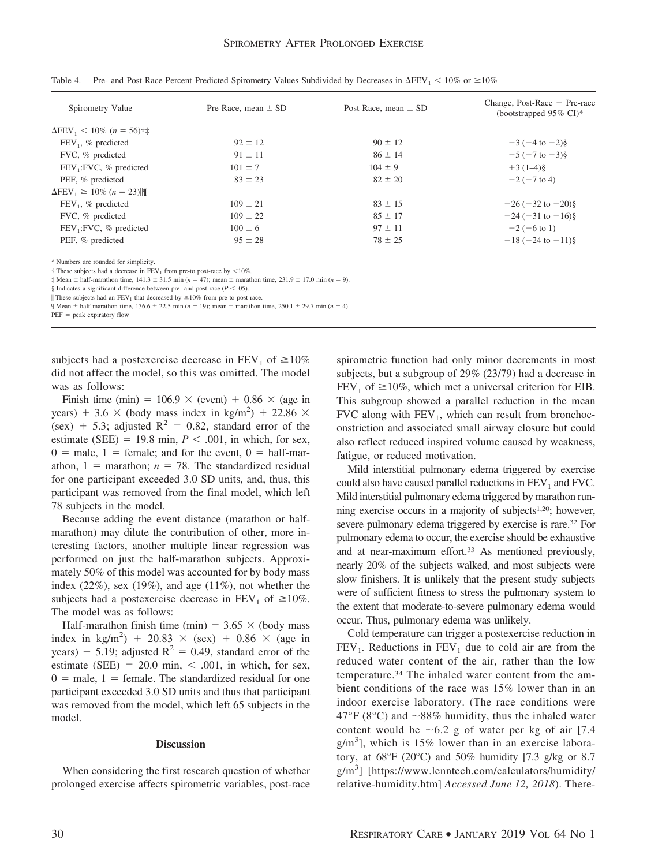| Spirometry Value                                 | Pre-Race, mean $\pm$ SD | Post-Race, mean $\pm$ SD | Change, Post-Race $-$ Pre-race<br>(bootstrapped $95\%$ CI)* |
|--------------------------------------------------|-------------------------|--------------------------|-------------------------------------------------------------|
| $\Delta$ FEV <sub>1</sub> < 10% (n = 56)†‡       |                         |                          |                                                             |
| $FEV_1$ , % predicted                            | $92 \pm 12$             | $90 \pm 12$              | $-3(-4)$ to $-2)$ §                                         |
| FVC, % predicted                                 | $91 \pm 11$             | $86 \pm 14$              | $-5(-7)$ to $-3$ )§                                         |
| FEV <sub>1</sub> :FVC, % predicted               | $101 \pm 7$             | $104 \pm 9$              | $+3(1-4)\$                                                  |
| PEF, % predicted                                 | $83 \pm 23$             | $82 \pm 20$              | $-2$ ( $-7$ to 4)                                           |
| $\Delta$ FEV <sub>1</sub> $\geq$ 10% (n = 23)  ¶ |                         |                          |                                                             |
| $FEV1$ , % predicted                             | $109 \pm 21$            | $83 \pm 15$              | $-26(-32 \text{ to } -20)\$                                 |
| FVC, % predicted                                 | $109 \pm 22$            | $85 \pm 17$              | $-24$ ( $-31$ to $-16$ )§                                   |
| $FEV_1$ : FVC, % predicted                       | $100 \pm 6$             | $97 \pm 11$              | $-2(-6 \text{ to } 1)$                                      |
| PEF, % predicted                                 | $95 \pm 28$             | $78 \pm 25$              | $-18(-24 to -11)\$                                          |

Table 4. Pre- and Post-Race Percent Predicted Spirometry Values Subdivided by Decreases in  $\Delta$ FEV<sub>1</sub>  $\lt$  10% or  $\geq$ 10%

\* Numbers are rounded for simplicity.

 $\dagger$  These subjects had a decrease in FEV<sub>1</sub> from pre-to post-race by <10%.

 $\frac{1}{4}$  Mean  $\pm$  half-marathon time, 141.3  $\pm$  31.5 min (*n* = 47); mean  $\pm$  marathon time, 231.9  $\pm$  17.0 min (*n* = 9).

§ Indicates a significant difference between pre- and post-race ( $P < .05$ ).

These subjects had an  $FEV_1$  that decreased by  $\geq 10\%$  from pre-to post-race.

 $\text{Mean} \pm \text{half-marathon time}, 136.6 \pm 22.5 \text{ min } (n = 19); \text{ mean } \pm \text{marathon time}, 250.1 \pm 29.7 \text{ min } (n = 4).$ 

 $PEF = peak$  expiratory flow

subjects had a postexercise decrease in  $\text{FEV}_1$  of  $\geq 10\%$ did not affect the model, so this was omitted. The model was as follows:

Finish time (min) =  $106.9 \times$  (event) +  $0.86 \times$  (age in years) + 3.6  $\times$  (body mass index in kg/m<sup>2</sup>) + 22.86  $\times$ (sex) + 5.3; adjusted  $R^2 = 0.82$ , standard error of the estimate (SEE)  $= 19.8$  min,  $P < .001$ , in which, for sex,  $0 =$  male, 1 = female; and for the event, 0 = half-marathon,  $1 =$  marathon;  $n = 78$ . The standardized residual for one participant exceeded 3.0 SD units, and, thus, this participant was removed from the final model, which left 78 subjects in the model.

Because adding the event distance (marathon or halfmarathon) may dilute the contribution of other, more interesting factors, another multiple linear regression was performed on just the half-marathon subjects. Approximately 50% of this model was accounted for by body mass index  $(22\%)$ , sex  $(19\%)$ , and age  $(11\%)$ , not whether the subjects had a postexercise decrease in  $\text{FEV}_1$  of  $\geq 10\%$ . The model was as follows:

Half-marathon finish time (min) =  $3.65 \times$  (body mass index in kg/m<sup>2</sup>) + 20.83  $\times$  (sex) + 0.86  $\times$  (age in years)  $+$  5.19; adjusted R<sup>2</sup> = 0.49, standard error of the estimate (SEE)  $= 20.0$  min,  $\lt$  .001, in which, for sex,  $0 =$  male,  $1 =$  female. The standardized residual for one participant exceeded 3.0 SD units and thus that participant was removed from the model, which left 65 subjects in the model.

#### **Discussion**

When considering the first research question of whether prolonged exercise affects spirometric variables, post-race spirometric function had only minor decrements in most subjects, but a subgroup of 29% (23/79) had a decrease in  $FEV_1$  of  $\geq 10\%$ , which met a universal criterion for EIB. This subgroup showed a parallel reduction in the mean FVC along with  $FEV_1$ , which can result from bronchoconstriction and associated small airway closure but could also reflect reduced inspired volume caused by weakness, fatigue, or reduced motivation.

Mild interstitial pulmonary edema triggered by exercise could also have caused parallel reductions in  $FEV<sub>1</sub>$  and FVC. Mild interstitial pulmonary edema triggered by marathon running exercise occurs in a majority of subjects1,20; however, severe pulmonary edema triggered by exercise is rare.32 For pulmonary edema to occur, the exercise should be exhaustive and at near-maximum effort.<sup>33</sup> As mentioned previously, nearly 20% of the subjects walked, and most subjects were slow finishers. It is unlikely that the present study subjects were of sufficient fitness to stress the pulmonary system to the extent that moderate-to-severe pulmonary edema would occur. Thus, pulmonary edema was unlikely.

Cold temperature can trigger a postexercise reduction in  $FEV<sub>1</sub>$ . Reductions in  $FEV<sub>1</sub>$  due to cold air are from the reduced water content of the air, rather than the low temperature.34 The inhaled water content from the ambient conditions of the race was 15% lower than in an indoor exercise laboratory. (The race conditions were 47°F (8°C) and  $\sim$ 88% humidity, thus the inhaled water content would be  $\sim 6.2$  g of water per kg of air [7.4  $g/m<sup>3</sup>$ ], which is 15% lower than in an exercise laboratory, at  $68^{\circ}F$  (20 $^{\circ}C$ ) and  $50\%$  humidity [7.3 g/kg or 8.7 g/m<sup>3</sup> ] [\[https://www.lenntech.com/calculators/humidity/](https://www.lenntech.com/calculators/humidity/relative-humidity.htm]) [relative-humidity.htm\]](https://www.lenntech.com/calculators/humidity/relative-humidity.htm]) *Accessed June 12, 2018*). There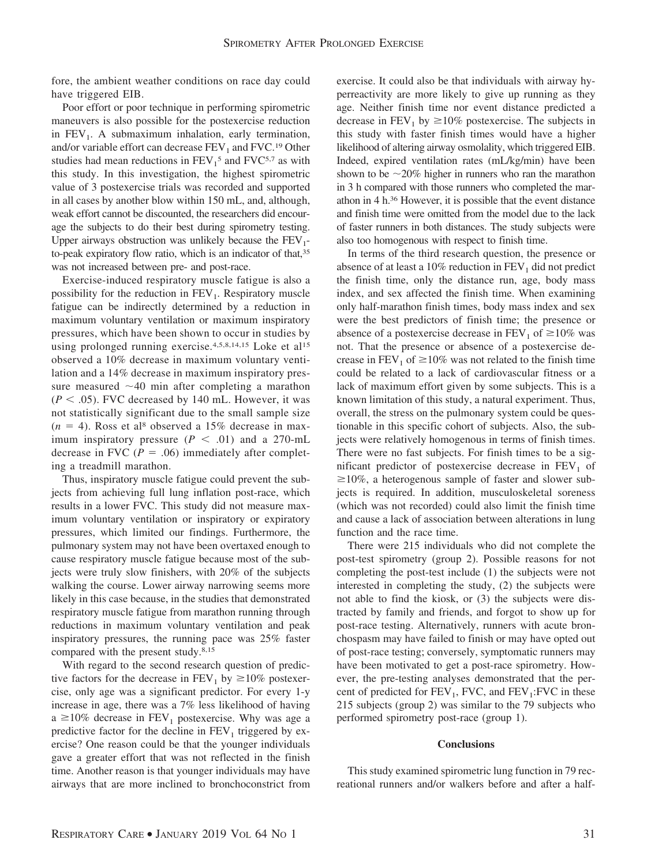fore, the ambient weather conditions on race day could have triggered EIB.

Poor effort or poor technique in performing spirometric maneuvers is also possible for the postexercise reduction in  $FEV<sub>1</sub>$ . A submaximum inhalation, early termination, and/or variable effort can decrease  $FEV<sub>1</sub>$  and  $FVC<sub>19</sub>$  Other studies had mean reductions in  $FEV<sub>1</sub><sup>5</sup>$  and  $FVC<sub>5</sub><sup>7</sup>$  as with this study. In this investigation, the highest spirometric value of 3 postexercise trials was recorded and supported in all cases by another blow within 150 mL, and, although, weak effort cannot be discounted, the researchers did encourage the subjects to do their best during spirometry testing. Upper airways obstruction was unlikely because the  $FEV<sub>1</sub>$ to-peak expiratory flow ratio, which is an indicator of that,35 was not increased between pre- and post-race.

Exercise-induced respiratory muscle fatigue is also a possibility for the reduction in  $FEV<sub>1</sub>$ . Respiratory muscle fatigue can be indirectly determined by a reduction in maximum voluntary ventilation or maximum inspiratory pressures, which have been shown to occur in studies by using prolonged running exercise.<sup>4,5,8,14,15</sup> Loke et al<sup>15</sup> observed a 10% decrease in maximum voluntary ventilation and a 14% decrease in maximum inspiratory pressure measured  $\sim$ 40 min after completing a marathon  $(P < .05)$ . FVC decreased by 140 mL. However, it was not statistically significant due to the small sample size  $(n = 4)$ . Ross et al<sup>8</sup> observed a 15% decrease in maximum inspiratory pressure  $(P < .01)$  and a 270-mL decrease in FVC ( $P = .06$ ) immediately after completing a treadmill marathon.

Thus, inspiratory muscle fatigue could prevent the subjects from achieving full lung inflation post-race, which results in a lower FVC. This study did not measure maximum voluntary ventilation or inspiratory or expiratory pressures, which limited our findings. Furthermore, the pulmonary system may not have been overtaxed enough to cause respiratory muscle fatigue because most of the subjects were truly slow finishers, with 20% of the subjects walking the course. Lower airway narrowing seems more likely in this case because, in the studies that demonstrated respiratory muscle fatigue from marathon running through reductions in maximum voluntary ventilation and peak inspiratory pressures, the running pace was 25% faster compared with the present study.8,15

With regard to the second research question of predictive factors for the decrease in  $\text{FEV}_1$  by  $\geq 10\%$  postexercise, only age was a significant predictor. For every 1-y increase in age, there was a 7% less likelihood of having  $a \ge 10\%$  decrease in FEV<sub>1</sub> postexercise. Why was age a predictive factor for the decline in  $FEV<sub>1</sub>$  triggered by exercise? One reason could be that the younger individuals gave a greater effort that was not reflected in the finish time. Another reason is that younger individuals may have airways that are more inclined to bronchoconstrict from exercise. It could also be that individuals with airway hyperreactivity are more likely to give up running as they age. Neither finish time nor event distance predicted a decrease in  $FEV_1$  by  $\geq 10\%$  postexercise. The subjects in this study with faster finish times would have a higher likelihood of altering airway osmolality, which triggered EIB. Indeed, expired ventilation rates (mL/kg/min) have been shown to be  $\sim$ 20% higher in runners who ran the marathon in 3 h compared with those runners who completed the marathon in 4 h.36 However, it is possible that the event distance and finish time were omitted from the model due to the lack of faster runners in both distances. The study subjects were also too homogenous with respect to finish time.

In terms of the third research question, the presence or absence of at least a 10% reduction in  $FEV<sub>1</sub>$  did not predict the finish time, only the distance run, age, body mass index, and sex affected the finish time. When examining only half-marathon finish times, body mass index and sex were the best predictors of finish time; the presence or absence of a postexercise decrease in  $\text{FEV}_1$  of  $\geq 10\%$  was not. That the presence or absence of a postexercise decrease in  $FEV_1$  of  $\geq 10\%$  was not related to the finish time could be related to a lack of cardiovascular fitness or a lack of maximum effort given by some subjects. This is a known limitation of this study, a natural experiment. Thus, overall, the stress on the pulmonary system could be questionable in this specific cohort of subjects. Also, the subjects were relatively homogenous in terms of finish times. There were no fast subjects. For finish times to be a significant predictor of postexercise decrease in  $FEV<sub>1</sub>$  of  $\geq$ 10%, a heterogenous sample of faster and slower subjects is required. In addition, musculoskeletal soreness (which was not recorded) could also limit the finish time and cause a lack of association between alterations in lung function and the race time.

There were 215 individuals who did not complete the post-test spirometry (group 2). Possible reasons for not completing the post-test include (1) the subjects were not interested in completing the study, (2) the subjects were not able to find the kiosk, or (3) the subjects were distracted by family and friends, and forgot to show up for post-race testing. Alternatively, runners with acute bronchospasm may have failed to finish or may have opted out of post-race testing; conversely, symptomatic runners may have been motivated to get a post-race spirometry. However, the pre-testing analyses demonstrated that the percent of predicted for  $FEV_1$ , FVC, and  $FEV_1$ : FVC in these 215 subjects (group 2) was similar to the 79 subjects who performed spirometry post-race (group 1).

### **Conclusions**

This study examined spirometric lung function in 79 recreational runners and/or walkers before and after a half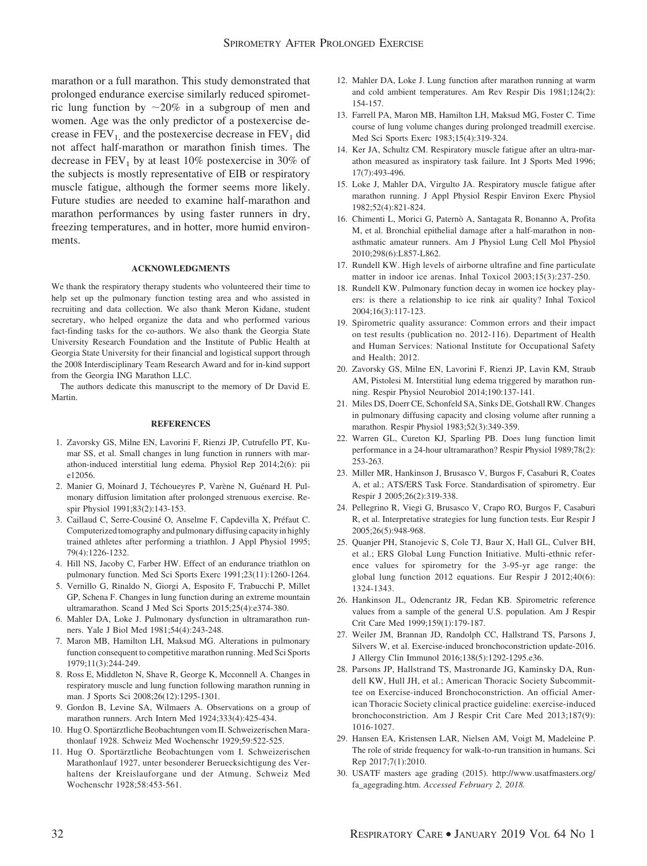marathon or a full marathon. This study demonstrated that prolonged endurance exercise similarly reduced spirometric lung function by  $\sim 20\%$  in a subgroup of men and women. Age was the only predictor of a postexercise decrease in  $FEV_1$  and the postexercise decrease in  $FEV_1$  did not affect half-marathon or marathon finish times. The decrease in  $FEV<sub>1</sub>$  by at least 10% postexercise in 30% of the subjects is mostly representative of EIB or respiratory muscle fatigue, although the former seems more likely. Future studies are needed to examine half-marathon and marathon performances by using faster runners in dry, freezing temperatures, and in hotter, more humid environments.

#### **ACKNOWLEDGMENTS**

We thank the respiratory therapy students who volunteered their time to help set up the pulmonary function testing area and who assisted in recruiting and data collection. We also thank Meron Kidane, student secretary, who helped organize the data and who performed various fact-finding tasks for the co-authors. We also thank the Georgia State University Research Foundation and the Institute of Public Health at Georgia State University for their financial and logistical support through the 2008 Interdisciplinary Team Research Award and for in-kind support from the Georgia ING Marathon LLC.

The authors dedicate this manuscript to the memory of Dr David E. Martin.

#### **REFERENCES**

- 1. Zavorsky GS, Milne EN, Lavorini F, Rienzi JP, Cutrufello PT, Kumar SS, et al. Small changes in lung function in runners with marathon-induced interstitial lung edema. Physiol Rep 2014;2(6): pii e12056.
- 2. Manier G, Moinard J, Téchoueyres P, Varène N, Guénard H. Pulmonary diffusion limitation after prolonged strenuous exercise. Respir Physiol 1991;83(2):143-153.
- 3. Caillaud C, Serre-Cousiné O, Anselme F, Capdevilla X, Préfaut C. Computerized tomography and pulmonary diffusing capacity in highly trained athletes after performing a triathlon. J Appl Physiol 1995; 79(4):1226-1232.
- 4. Hill NS, Jacoby C, Farber HW. Effect of an endurance triathlon on pulmonary function. Med Sci Sports Exerc 1991;23(11):1260-1264.
- 5. Vernillo G, Rinaldo N, Giorgi A, Esposito F, Trabucchi P, Millet GP, Schena F. Changes in lung function during an extreme mountain ultramarathon. Scand J Med Sci Sports 2015;25(4):e374-380.
- 6. Mahler DA, Loke J. Pulmonary dysfunction in ultramarathon runners. Yale J Biol Med 1981;54(4):243-248.
- 7. Maron MB, Hamilton LH, Maksud MG. Alterations in pulmonary function consequent to competitive marathon running. Med Sci Sports 1979;11(3):244-249.
- 8. Ross E, Middleton N, Shave R, George K, Mcconnell A. Changes in respiratory muscle and lung function following marathon running in man. J Sports Sci 2008;26(12):1295-1301.
- 9. Gordon B, Levine SA, Wilmaers A. Observations on a group of marathon runners. Arch Intern Med 1924;333(4):425-434.
- 10. Hug O. Sportärztliche Beobachtungen vom II. Schweizerischen Marathonlauf 1928. Schweiz Med Wochenschr 1929;59:522-525.
- 11. Hug O. Sportärztliche Beobachtungen vom I. Schweizerischen Marathonlauf 1927, unter besonderer Beruecksichtigung des Verhaltens der Kreislauforgane und der Atmung. Schweiz Med Wochenschr 1928;58:453-561.
- 12. Mahler DA, Loke J. Lung function after marathon running at warm and cold ambient temperatures. Am Rev Respir Dis 1981;124(2): 154-157.
- 13. Farrell PA, Maron MB, Hamilton LH, Maksud MG, Foster C. Time course of lung volume changes during prolonged treadmill exercise. Med Sci Sports Exerc 1983;15(4):319-324.
- 14. Ker JA, Schultz CM. Respiratory muscle fatigue after an ultra-marathon measured as inspiratory task failure. Int J Sports Med 1996; 17(7):493-496.
- 15. Loke J, Mahler DA, Virgulto JA. Respiratory muscle fatigue after marathon running. J Appl Physiol Respir Environ Exerc Physiol 1982;52(4):821-824.
- 16. Chimenti L, Morici G, Paternò A, Santagata R, Bonanno A, Profita M, et al. Bronchial epithelial damage after a half-marathon in nonasthmatic amateur runners. Am J Physiol Lung Cell Mol Physiol 2010;298(6):L857-L862.
- 17. Rundell KW. High levels of airborne ultrafine and fine particulate matter in indoor ice arenas. Inhal Toxicol 2003;15(3):237-250.
- 18. Rundell KW. Pulmonary function decay in women ice hockey players: is there a relationship to ice rink air quality? Inhal Toxicol 2004;16(3):117-123.
- 19. Spirometric quality assurance: Common errors and their impact on test results (publication no. 2012-116). Department of Health and Human Services: National Institute for Occupational Safety and Health; 2012.
- 20. Zavorsky GS, Milne EN, Lavorini F, Rienzi JP, Lavin KM, Straub AM, Pistolesi M. Interstitial lung edema triggered by marathon running. Respir Physiol Neurobiol 2014;190:137-141.
- 21. Miles DS, Doerr CE, Schonfeld SA, Sinks DE, Gotshall RW. Changes in pulmonary diffusing capacity and closing volume after running a marathon. Respir Physiol 1983;52(3):349-359.
- 22. Warren GL, Cureton KJ, Sparling PB. Does lung function limit performance in a 24-hour ultramarathon? Respir Physiol 1989;78(2): 253-263.
- 23. Miller MR, Hankinson J, Brusasco V, Burgos F, Casaburi R, Coates A, et al.; ATS/ERS Task Force. Standardisation of spirometry. Eur Respir J 2005;26(2):319-338.
- 24. Pellegrino R, Viegi G, Brusasco V, Crapo RO, Burgos F, Casaburi R, et al. Interpretative strategies for lung function tests. Eur Respir J 2005;26(5):948-968.
- 25. Quanjer PH, Stanojevic S, Cole TJ, Baur X, Hall GL, Culver BH, et al.; ERS Global Lung Function Initiative. Multi-ethnic reference values for spirometry for the 3-95-yr age range: the global lung function 2012 equations. Eur Respir J 2012;40(6): 1324-1343.
- 26. Hankinson JL, Odencrantz JR, Fedan KB. Spirometric reference values from a sample of the general U.S. population. Am J Respir Crit Care Med 1999;159(1):179-187.
- 27. Weiler JM, Brannan JD, Randolph CC, Hallstrand TS, Parsons J, Silvers W, et al. Exercise-induced bronchoconstriction update-2016. J Allergy Clin Immunol 2016;138(5):1292-1295.e36.
- 28. Parsons JP, Hallstrand TS, Mastronarde JG, Kaminsky DA, Rundell KW, Hull JH, et al.; American Thoracic Society Subcommittee on Exercise-induced Bronchoconstriction. An official American Thoracic Society clinical practice guideline: exercise-induced bronchoconstriction. Am J Respir Crit Care Med 2013;187(9): 1016-1027.
- 29. Hansen EA, Kristensen LAR, Nielsen AM, Voigt M, Madeleine P. The role of stride frequency for walk-to-run transition in humans. Sci Rep 2017;7(1):2010.
- 30. USATF masters age grading (2015). http://www.usatfmasters.org/ fa\_agegrading.htm. *Accessed February 2, 2018.*